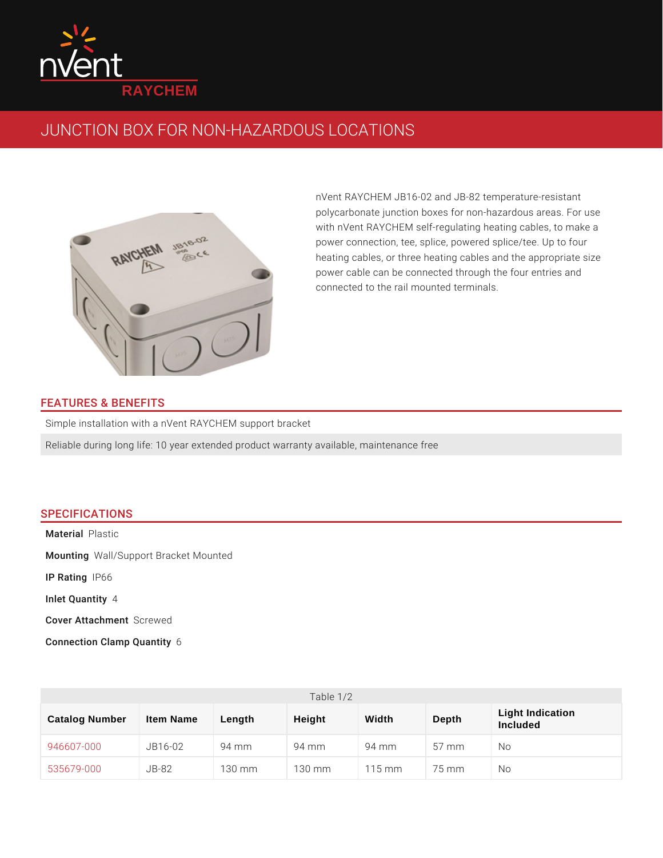

## JUNCTION BOX FOR NON-HAZARDOUS LOCATIONS

nVent RAYCHEM JB16-02 and JB-82 temperatu polycarbonate junction boxes for non-hazardou with nVent RAYCHEM self-regulating heating c power connection, tee, splice, powered splice, heating cables, or three heating cables and th power cable can be connected through the fou connected to the rail mounted terminals.

## FEATURES & BENEFITS

Simple installation with a nVent RAYCHEM support bracket

Reliable during long life: 10 year extended product warranty available, maintenane

## SPECIFICATIONS

Mater iPallastic Mounti $M$ gall/Support Bracket Mounted

IP Rating66

Inlet Qua4htity

Cover AttachSmorent wed

Connection Clamp6Quantity

| Table $1/2$              |           |        |        |        |        |                              |  |
|--------------------------|-----------|--------|--------|--------|--------|------------------------------|--|
| Catalog Number           | Item Name | Length | Height | Width  | Depth  | Light Indication<br>Included |  |
| 946607-000 JB16-02 94 mm |           |        | 94 m m | 94 m m | 57 m m | N o                          |  |
| $535679 - 000$ JB-82     |           | 130 mm | 130 mm | 115 mm | 75 m m | N o                          |  |